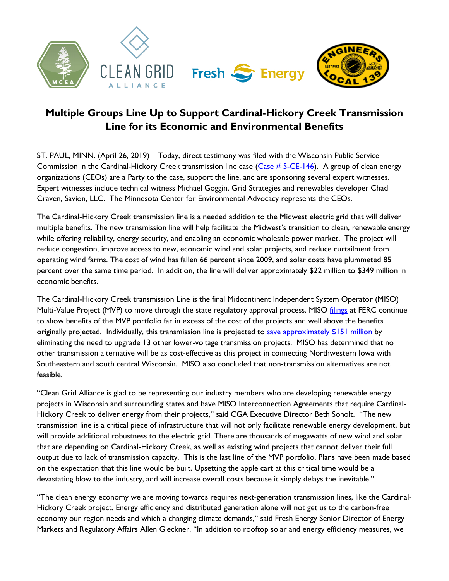

## **Multiple Groups Line Up to Support Cardinal-Hickory Creek Transmission Line for its Economic and Environmental Benefits**

ST. PAUL, MINN. (April 26, 2019) – Today, direct testimony was filed with the Wisconsin Public Service Commission in the Cardinal-Hickory Creek transmission line case [\(Case # 5-CE-146\)](https://psc.wi.gov/Pages/MajorCases/CardinalHickoryCreek.aspx). A group of clean energy organizations (CEOs) are a Party to the case, support the line, and are sponsoring several expert witnesses. Expert witnesses include technical witness Michael Goggin, Grid Strategies and renewables developer Chad Craven, Savion, LLC. The Minnesota Center for Environmental Advocacy represents the CEOs.

The Cardinal-Hickory Creek transmission line is a needed addition to the Midwest electric grid that will deliver multiple benefits. The new transmission line will help facilitate the Midwest's transition to clean, renewable energy while offering reliability, energy security, and enabling an economic wholesale power market. The project will reduce congestion, improve access to new, economic wind and solar projects, and reduce curtailment from operating wind farms. The cost of wind has fallen 66 percent since 2009, and solar costs have plummeted 85 percent over the same time period. In addition, the line will deliver approximately \$22 million to \$349 million in economic benefits.

The Cardinal-Hickory Creek transmission Line is the final Midcontinent Independent System Operator (MISO) Multi-Value Project (MVP) to move through the state regulatory approval process. MISO [filings](https://urldefense.proofpoint.com/v2/url?u=https-3A__cdn.misoenergy.org__MTEP18-2520Executive-2520Summary290656.pdf&d=DwQFaQ&c=euGZstcaTDllvimEN8b7jXrwqOf-v5A_CdpgnVfiiMM&r=RsaykZ0pL-9M1vADfY6hVjX2GvxGrIyBaiMb948aJDc&m=Qv3ybx69tIApsDZyKhKqbSWmEEmgf_7VFXskPQgcHtM&s=rgiAoHin84ekyICKu2r5qcPCMyBb7qbKOjQ7yhhrnJ0&e=) at FERC continue to show benefits of the MVP portfolio far in excess of the cost of the projects and well above the benefits originally projected. Individually, this transmission line is projected to save [approximately \\$151 million](http://www.cardinal-hickorycreek.com/wp-content/uploads/2018/06/Cardinal-HickoryCreekAlternativesEvaluationStudy.pdf) by eliminating the need to upgrade 13 other lower-voltage transmission projects. MISO has determined that no other transmission alternative will be as cost-effective as this project in connecting Northwestern Iowa with Southeastern and south central Wisconsin. MISO also concluded that non-transmission alternatives are not feasible.

"Clean Grid Alliance is glad to be representing our industry members who are developing renewable energy projects in Wisconsin and surrounding states and have MISO Interconnection Agreements that require Cardinal-Hickory Creek to deliver energy from their projects," said CGA Executive Director Beth Soholt. "The new transmission line is a critical piece of infrastructure that will not only facilitate renewable energy development, but will provide additional robustness to the electric grid. There are thousands of megawatts of new wind and solar that are depending on Cardinal-Hickory Creek, as well as existing wind projects that cannot deliver their full output due to lack of transmission capacity. This is the last line of the MVP portfolio. Plans have been made based on the expectation that this line would be built. Upsetting the apple cart at this critical time would be a devastating blow to the industry, and will increase overall costs because it simply delays the inevitable."

"The clean energy economy we are moving towards requires next-generation transmission lines, like the Cardinal-Hickory Creek project. Energy efficiency and distributed generation alone will not get us to the carbon-free economy our region needs and which a changing climate demands," said Fresh Energy Senior Director of Energy Markets and Regulatory Affairs Allen Gleckner. "In addition to rooftop solar and energy efficiency measures, we